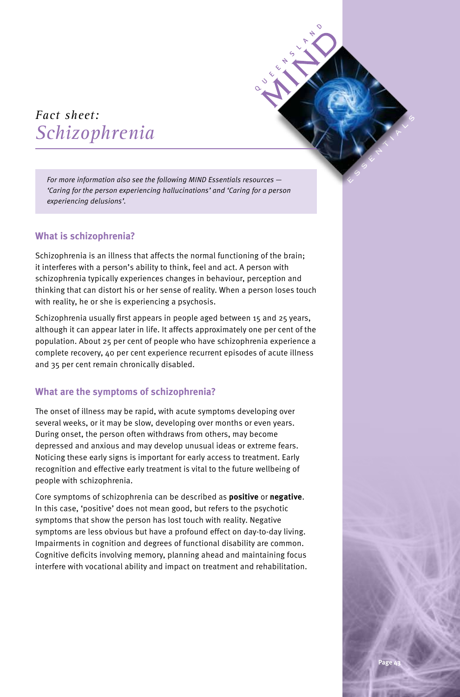# *Fact sheet: Schizophrenia*

*For more information also see the following MIND Essentials resources — 'Caring for the person experiencing hallucinations' and 'Caring for a person experiencing delusions'.*

### **What is schizophrenia?**

Schizophrenia is an illness that affects the normal functioning of the brain; it interferes with a person's ability to think, feel and act. A person with schizophrenia typically experiences changes in behaviour, perception and thinking that can distort his or her sense of reality. When a person loses touch with reality, he or she is experiencing a psychosis.

Schizophrenia usually first appears in people aged between 15 and 25 years, although it can appear later in life. It affects approximately one per cent of the population. About 25 per cent of people who have schizophrenia experience a complete recovery, 40 per cent experience recurrent episodes of acute illness and 35 per cent remain chronically disabled.

#### **What are the symptoms of schizophrenia?**

The onset of illness may be rapid, with acute symptoms developing over several weeks, or it may be slow, developing over months or even years. During onset, the person often withdraws from others, may become depressed and anxious and may develop unusual ideas or extreme fears. Noticing these early signs is important for early access to treatment. Early recognition and effective early treatment is vital to the future wellbeing of people with schizophrenia.

Core symptoms of schizophrenia can be described as **positive** or **negative**. In this case, 'positive' does not mean good, but refers to the psychotic symptoms that show the person has lost touch with reality. Negative symptoms are less obvious but have a profound effect on day-to-day living. Impairments in cognition and degrees of functional disability are common. Cognitive deficits involving memory, planning ahead and maintaining focus interfere with vocational ability and impact on treatment and rehabilitation.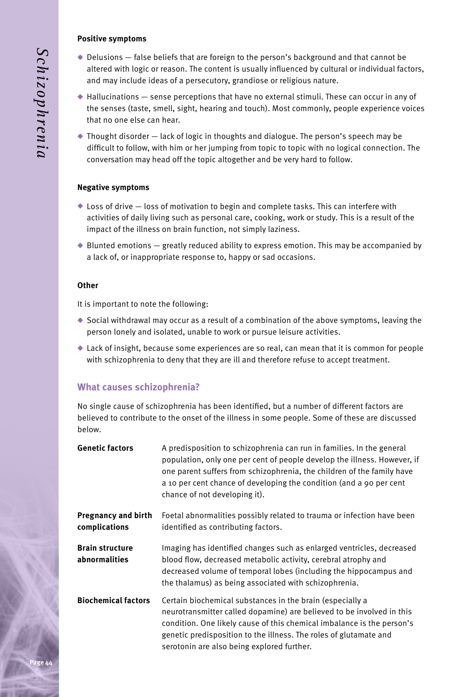#### **Positive symptoms**

- $\bullet$  Delusions false beliefs that are foreign to the person's background and that cannot be altered with logic or reason. The content is usually influenced by cultural or individual factors, and may include ideas of a persecutory, grandiose or religious nature.
- $\blacklozenge$  Hallucinations  $-$  sense perceptions that have no external stimuli. These can occur in any of the senses (taste, smell, sight, hearing and touch). Most commonly, people experience voices that no one else can hear.
- $\bullet$  Thought disorder  $-$  lack of logic in thoughts and dialogue. The person's speech may be difficult to follow, with him or her jumping from topic to topic with no logical connection. The conversation may head off the topic altogether and be very hard to follow.

#### **Negative symptoms**

- $\bullet$  Loss of drive  $-$  loss of motivation to begin and complete tasks. This can interfere with activities of daily living such as personal care, cooking, work or study. This is a result of the impact of the illness on brain function, not simply laziness.
- $\bullet$  Blunted emotions  $-$  greatly reduced ability to express emotion. This may be accompanied by a lack of, or inappropriate response to, happy or sad occasions.

#### **Other**

It is important to note the following:

- $\blacklozenge$  Social withdrawal may occur as a result of a combination of the above symptoms, leaving the person lonely and isolated, unable to work or pursue leisure activities.
- $\bullet$  Lack of insight, because some experiences are so real, can mean that it is common for people with schizophrenia to deny that they are ill and therefore refuse to accept treatment.

#### **What causes schizophrenia?**

No single cause of schizophrenia has been identified, but a number of different factors are believed to contribute to the onset of the illness in some people. Some of these are discussed below.

| <b>Genetic factors</b>                      | A predisposition to schizophrenia can run in families. In the general<br>population, only one per cent of people develop the illness. However, if<br>one parent suffers from schizophrenia, the children of the family have<br>a 10 per cent chance of developing the condition (and a 90 per cent<br>chance of not developing it). |
|---------------------------------------------|-------------------------------------------------------------------------------------------------------------------------------------------------------------------------------------------------------------------------------------------------------------------------------------------------------------------------------------|
| <b>Pregnancy and birth</b><br>complications | Foetal abnormalities possibly related to trauma or infection have been<br>identified as contributing factors.                                                                                                                                                                                                                       |
| <b>Brain structure</b><br>abnormalities     | Imaging has identified changes such as enlarged ventricles, decreased<br>blood flow, decreased metabolic activity, cerebral atrophy and<br>decreased volume of temporal lobes (including the hippocampus and<br>the thalamus) as being associated with schizophrenia.                                                               |
| <b>Biochemical factors</b>                  | Certain biochemical substances in the brain (especially a<br>neurotransmitter called dopamine) are believed to be involved in this<br>condition. One likely cause of this chemical imbalance is the person's<br>genetic predisposition to the illness. The roles of glutamate and<br>serotonin are also being explored further.     |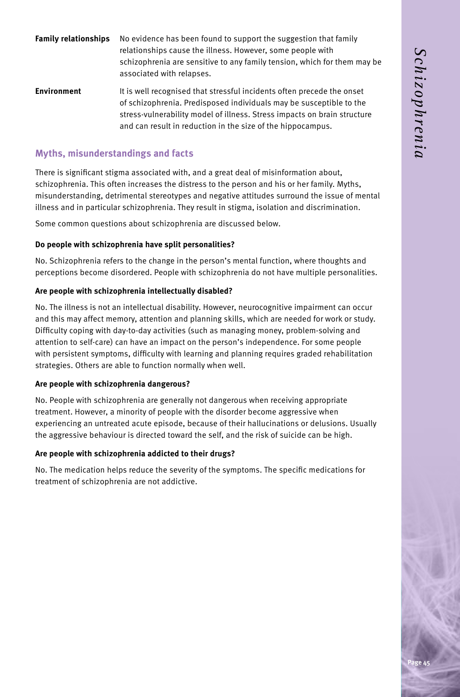| <b>Family relationships</b> No evidence has been found to support the suggestion that family |
|----------------------------------------------------------------------------------------------|
| relationships cause the illness. However, some people with                                   |
| schizophrenia are sensitive to any family tension, which for them may be                     |
| associated with relapses.                                                                    |

**Environment** It is well recognised that stressful incidents often precede the onset of schizophrenia. Predisposed individuals may be susceptible to the stress-vulnerability model of illness. Stress impacts on brain structure and can result in reduction in the size of the hippocampus.

## **Myths, misunderstandings and facts**

There is significant stigma associated with, and a great deal of misinformation about, schizophrenia. This often increases the distress to the person and his or her family. Myths, misunderstanding, detrimental stereotypes and negative attitudes surround the issue of mental illness and in particular schizophrenia. They result in stigma, isolation and discrimination.

Some common questions about schizophrenia are discussed below.

#### **Do people with schizophrenia have split personalities?**

No. Schizophrenia refers to the change in the person's mental function, where thoughts and perceptions become disordered. People with schizophrenia do not have multiple personalities.

#### **Are people with schizophrenia intellectually disabled?**

No. The illness is not an intellectual disability. However, neurocognitive impairment can occur and this may affect memory, attention and planning skills, which are needed for work or study. Difficulty coping with day-to-day activities (such as managing money, problem-solving and attention to self-care) can have an impact on the person's independence. For some people with persistent symptoms, difficulty with learning and planning requires graded rehabilitation strategies. Others are able to function normally when well.

#### **Are people with schizophrenia dangerous?**

No. People with schizophrenia are generally not dangerous when receiving appropriate treatment. However, a minority of people with the disorder become aggressive when experiencing an untreated acute episode, because of their hallucinations or delusions. Usually the aggressive behaviour is directed toward the self, and the risk of suicide can be high.

#### **Are people with schizophrenia addicted to their drugs?**

No. The medication helps reduce the severity of the symptoms. The specific medications for treatment of schizophrenia are not addictive.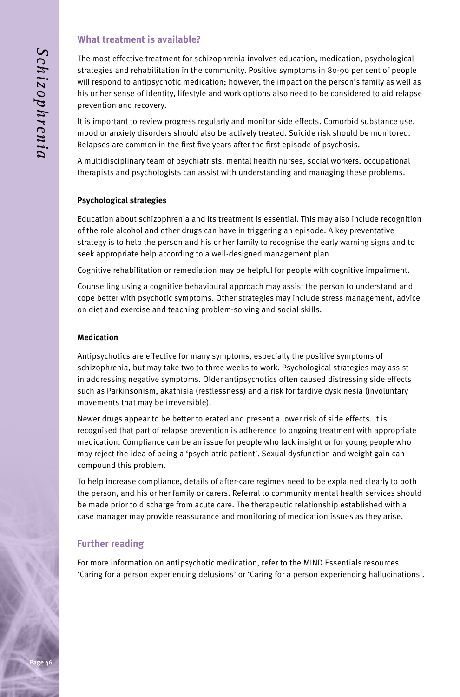#### **What treatment is available?**

The most effective treatment for schizophrenia involves education, medication, psychological strategies and rehabilitation in the community. Positive symptoms in 80-90 per cent of people will respond to antipsychotic medication; however, the impact on the person's family as well as his or her sense of identity, lifestyle and work options also need to be considered to aid relapse prevention and recovery.

It is important to review progress regularly and monitor side effects. Comorbid substance use, mood or anxiety disorders should also be actively treated. Suicide risk should be monitored. Relapses are common in the first five years after the first episode of psychosis.

A multidisciplinary team of psychiatrists, mental health nurses, social workers, occupational therapists and psychologists can assist with understanding and managing these problems.

#### **Psychological strategies**

Education about schizophrenia and its treatment is essential. This may also include recognition of the role alcohol and other drugs can have in triggering an episode. A key preventative strategy is to help the person and his or her family to recognise the early warning signs and to seek appropriate help according to a well-designed management plan.

Cognitive rehabilitation or remediation may be helpful for people with cognitive impairment.

Counselling using a cognitive behavioural approach may assist the person to understand and cope better with psychotic symptoms. Other strategies may include stress management, advice on diet and exercise and teaching problem-solving and social skills.

#### **Medication**

Antipsychotics are effective for many symptoms, especially the positive symptoms of schizophrenia, but may take two to three weeks to work. Psychological strategies may assist in addressing negative symptoms. Older antipsychotics often caused distressing side effects such as Parkinsonism, akathisia (restlessness) and a risk for tardive dyskinesia (involuntary movements that may be irreversible).

Newer drugs appear to be better tolerated and present a lower risk of side effects. It is recognised that part of relapse prevention is adherence to ongoing treatment with appropriate medication. Compliance can be an issue for people who lack insight or for young people who may reject the idea of being a 'psychiatric patient'. Sexual dysfunction and weight gain can compound this problem.

To help increase compliance, details of after-care regimes need to be explained clearly to both the person, and his or her family or carers. Referral to community mental health services should be made prior to discharge from acute care. The therapeutic relationship established with a case manager may provide reassurance and monitoring of medication issues as they arise.

#### **Further reading**

For more information on antipsychotic medication, refer to the MIND Essentials resources 'Caring for a person experiencing delusions' or 'Caring for a person experiencing hallucinations'.